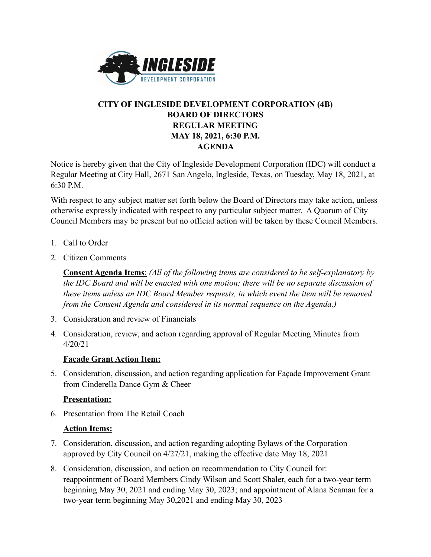

# **CITY OF INGLESIDE DEVELOPMENT CORPORATION (4B) BOARD OF DIRECTORS REGULAR MEETING MAY 18, 2021, 6:30 P.M. AGENDA**

Notice is hereby given that the City of Ingleside Development Corporation (IDC) will conduct a Regular Meeting at City Hall, 2671 San Angelo, Ingleside, Texas, on Tuesday, May 18, 2021, at 6:30 P.M.

With respect to any subject matter set forth below the Board of Directors may take action, unless otherwise expressly indicated with respect to any particular subject matter. A Quorum of City Council Members may be present but no official action will be taken by these Council Members.

- 1. Call to Order
- 2. Citizen Comments

**Consent Agenda Items**: *(All of the following items are considered to be self-explanatory by the IDC Board and will be enacted with one motion; there will be no separate discussion of these items unless an IDC Board Member requests, in which event the item will be removed from the Consent Agenda and considered in its normal sequence on the Agenda.)*

- 3. Consideration and review of Financials
- 4. Consideration, review, and action regarding approval of Regular Meeting Minutes from 4/20/21

### **Façade Grant Action Item:**

5. Consideration, discussion, and action regarding application for Façade Improvement Grant from Cinderella Dance Gym & Cheer

### **Presentation:**

6. Presentation from The Retail Coach

### **Action Items:**

- 7. Consideration, discussion, and action regarding adopting Bylaws of the Corporation approved by City Council on 4/27/21, making the effective date May 18, 2021
- 8. Consideration, discussion, and action on recommendation to City Council for: reappointment of Board Members Cindy Wilson and Scott Shaler, each for a two-year term beginning May 30, 2021 and ending May 30, 2023; and appointment of Alana Seaman for a two-year term beginning May 30,2021 and ending May 30, 2023